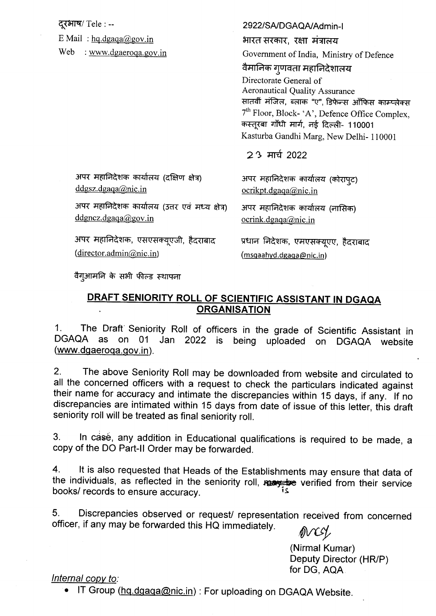| दूरभाष/ Tele : --<br>E Mail: $hq.dgaa@gov.in$<br>Web<br>: www.dgaeroqa.gov.in | 2922/SA/DGAQA/Admin-I<br>भारत सरकार, रक्षा मंत्रालय<br>Government of India, Ministry of Defence<br>वैमानिक गुणवता महानिदेशालय<br>Directorate General of<br><b>Aeronautical Quality Assurance</b><br>सातवीं मंजिल, ब्लाक "ए", डिफेन्स ऑफिस काम्प्लेक्स<br>7 <sup>th</sup> Floor, Block- 'A', Defence Office Complex,<br>कस्तूरबा गाँधी मार्ग, नई दिल्ली- 110001<br>Kasturba Gandhi Marg, New Delhi- 110001<br>$23$ मार्च 2022 |  |  |  |  |
|-------------------------------------------------------------------------------|------------------------------------------------------------------------------------------------------------------------------------------------------------------------------------------------------------------------------------------------------------------------------------------------------------------------------------------------------------------------------------------------------------------------------|--|--|--|--|
| अपर महानिदेशक कार्यालय (दक्षिण क्षेत्र)                                       | अपर महानिदेशक कार्यालय (कोराप्ट)                                                                                                                                                                                                                                                                                                                                                                                             |  |  |  |  |
| ddgsz.dgaga@nic.in                                                            | ocrikpt.dgaga@nic.in                                                                                                                                                                                                                                                                                                                                                                                                         |  |  |  |  |
| अपर महानिदेशक कार्यालय (उत्तर एवं मध्य क्षेत्र)                               | अपर महानिदेशक कार्यालय (नासिक)                                                                                                                                                                                                                                                                                                                                                                                               |  |  |  |  |
| ddgncz.dgaga@goy.in                                                           | ocrink.dgaga@nic.in                                                                                                                                                                                                                                                                                                                                                                                                          |  |  |  |  |
| अपर महानिदेशक, एसएसक्यूएजी, हैदराबाद                                          | प्रधान निदेशक, एमएसक्यूएए, हैदराबाद                                                                                                                                                                                                                                                                                                                                                                                          |  |  |  |  |
| (director.admin@nic.in)                                                       | ( <u>msqaahyd.dgaqa@nic.in</u> )                                                                                                                                                                                                                                                                                                                                                                                             |  |  |  |  |

वैगुआमनि के सभी फील्ड स्थापना

## DRAFT SENIORITY ROLL OF SCIENTIFIC ASSISTANT IN DGAQA **ORGANISATION**

The Draft Seniority Roll of officers in the grade of Scientific Assistant in  $1<sub>1</sub>$ DGAQA as on 01 Jan 2022 is being uploaded on DGAQA website (www.dgaeroga.gov.in).

The above Seniority Roll may be downloaded from website and circulated to  $2<sub>1</sub>$ all the concerned officers with a request to check the particulars indicated against their name for accuracy and intimate the discrepancies within 15 days, if any. If no discrepancies are intimated within 15 days from date of issue of this letter, this draft seniority roll will be treated as final seniority roll.

In casé, any addition in Educational qualifications is required to be made, a  $3<sub>1</sub>$ copy of the DO Part-II Order may be forwarded.

It is also requested that Heads of the Establishments may ensure that data of  $4<sup>1</sup>$ the individuals, as reflected in the seniority roll, researched from their service books/ records to ensure accuracy.

5. Discrepancies observed or request/ representation received from concerned officer, if any may be forwarded this HQ immediately.

over

(Nirmal Kumar) Deputy Director (HR/P) for DG, AQA.

## Internal copy to:

IT Group (hg.dgaga@nic.in): For uploading on DGAQA Website.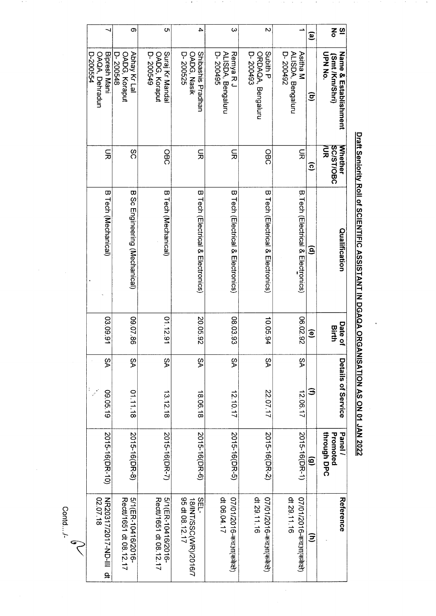| Whether<br><b>SC/ST/OBC</b><br>λUΣ<br>$\Xi$<br>ହ<br>B. Tech (Electrical & Electronics)<br>Qualification<br>ē<br><b>06.02.92</b><br>Date of<br>Birth<br>$\widehat{\mathbf{e}}$<br>δÁ<br>Details of Service | $\overline{\mathbf{z}}$<br>Name & Establishment | 증<br>UPN NO.<br>(Smt /Km/Shri) | $\mathbf{\widehat{e}}$<br>ਭ | ALISDA, Bengaluru<br>Asitha M<br>D-200492 |                                        | $\overline{\mathsf{C}}$<br>$\omega$<br><b>Subith P</b><br>ALISDA, Bengaluru<br>Remya R <sub>J</sub><br>ORDAQA, Bengaluru<br>D-200495<br>D-200493 | 4<br>Shibashis Pradhan<br>OADG, Nasik<br>D-200525 | C<br>Suraj Kr Mandal<br>D-200549<br>OADG, Koraput | တ<br>Abhay Kr Lal<br>OADG, Koraput<br>D-200548 | Bipresh Mani<br>OAQA, Dehradun<br><b>D-200554</b> |
|-----------------------------------------------------------------------------------------------------------------------------------------------------------------------------------------------------------|-------------------------------------------------|--------------------------------|-----------------------------|-------------------------------------------|----------------------------------------|--------------------------------------------------------------------------------------------------------------------------------------------------|---------------------------------------------------|---------------------------------------------------|------------------------------------------------|---------------------------------------------------|
| B Tech (Electrical & Electronics)<br>08.03.93<br>10.05.94<br>δÁ                                                                                                                                           |                                                 |                                |                             |                                           | OBC                                    | $\Xi$                                                                                                                                            | 듶                                                 | OBC                                               | SC                                             | $\Xi$                                             |
|                                                                                                                                                                                                           |                                                 |                                |                             |                                           |                                        | <b>B Tech (Electrical &amp; Electronics)</b>                                                                                                     | <b>B Tech (Electrical &amp; Electronics)</b>      | B Tech (Mechanical)                               | B Sc Engineering (Mechanical)                  | B Tech (Mechanical)                               |
| δÁ                                                                                                                                                                                                        |                                                 |                                |                             |                                           |                                        |                                                                                                                                                  | 20.05.92                                          | 01.12.91                                          | 09.07.86                                       | 03.09.91                                          |
|                                                                                                                                                                                                           |                                                 |                                |                             |                                           |                                        |                                                                                                                                                  | δÁ                                                | δÁ                                                | δA                                             | δÁ                                                |
|                                                                                                                                                                                                           | Panel <sup>/</sup>                              | through DPC<br>Promoted        | $\widehat{\mathbf{e}}$      | 2015-16(DR-1)                             | 2015-16(DR-2)                          |                                                                                                                                                  | 2015-16(DR-6)                                     | 2015-16(DR-7)                                     | 2015-16(DR-8)                                  | 2015-16(DR-10)                                    |
| 2015-16(DR-5)                                                                                                                                                                                             | Reference                                       |                                | $\widehat{\Xi}$             | dt 29.11.16<br>07/01/2016-कचआ(ककेक्षे)    | dt 29.11.16<br>07/01/2016-कचआ(ककेक्षे) | dt 06.04.17                                                                                                                                      | 95 dt 08.12.17<br>SEL-<br>18/INT/SSC(WR)/2016/7   | 5/1(ER-10416/2016-<br>Rect/1651 dt 08.12.17       | 5/1(ER-10416/2016-<br>Rect/1651 dt 08.12.17    | N2003177017-ND-III qt<br>02.07.18                 |
| 12.10.17                                                                                                                                                                                                  | Ξ<br>22.07.17<br>12.06.17                       |                                |                             |                                           |                                        |                                                                                                                                                  | 18.06.18                                          | 13.12.18                                          | 01.11.18                                       | 09.05.19                                          |

Draft Seniority Roll of SCIENTIFIC ASSISTANT IN DGAQA ORGANISATION AS ON 01 JAN 2022

J.